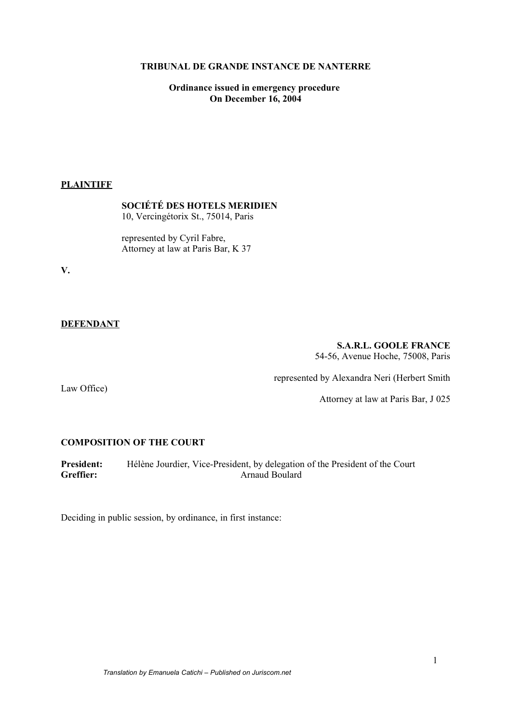### **TRIBUNAL DE GRANDE INSTANCE DE NANTERRE**

**Ordinance issued in emergency procedure On December 16, 2004**

## **PLAINTIFF**

**SOCIÉTÉ DES HOTELS MERIDIEN** 10, Vercingétorix St., 75014, Paris

represented by Cyril Fabre, Attorney at law at Paris Bar, K 37

**V.**

### **DEFENDANT**

# **S.A.R.L. GOOLE FRANCE**

54-56, Avenue Hoche, 75008, Paris

Law Office)

represented by Alexandra Neri (Herbert Smith

Attorney at law at Paris Bar, J 025

#### **COMPOSITION OF THE COURT**

**President:** Hélène Jourdier, Vice-President, by delegation of the President of the Court<br>Greffier: Arnaud Boulard **Greffier:** Arnaud Boulard

Deciding in public session, by ordinance, in first instance: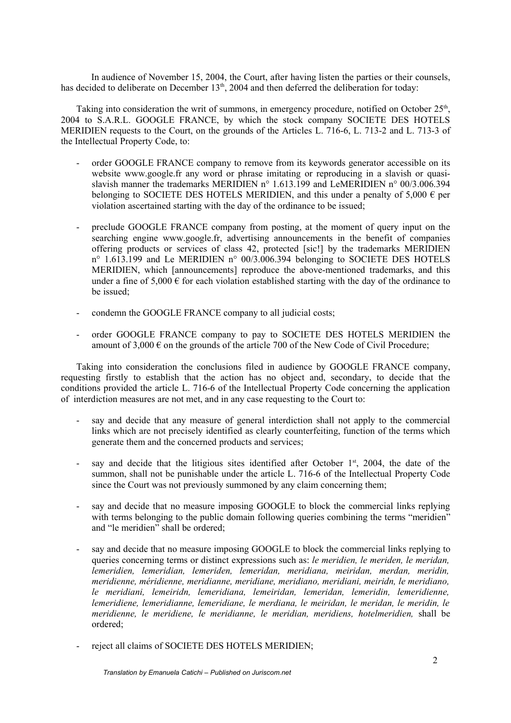In audience of November 15, 2004, the Court, after having listen the parties or their counsels, has decided to deliberate on December  $13<sup>th</sup>$ , 2004 and then deferred the deliberation for today:

Taking into consideration the writ of summons, in emergency procedure, notified on October 25<sup>th</sup>, 2004 to S.A.R.L. GOOGLE FRANCE, by which the stock company SOCIETE DES HOTELS MERIDIEN requests to the Court, on the grounds of the Articles L. 716-6, L. 713-2 and L. 713-3 of the Intellectual Property Code, to:

- order GOOGLE FRANCE company to remove from its keywords generator accessible on its website www.google.fr any word or phrase imitating or reproducing in a slavish or quasislavish manner the trademarks MERIDIEN n° 1.613.199 and LeMERIDIEN n° 00/3.006.394 belonging to SOCIETE DES HOTELS MERIDIEN, and this under a penalty of 5,000  $\epsilon$  per violation ascertained starting with the day of the ordinance to be issued;
- preclude GOOGLE FRANCE company from posting, at the moment of query input on the searching engine www.google.fr, advertising announcements in the benefit of companies offering products or services of class 42, protected [sic!] by the trademarks MERIDIEN n° 1.613.199 and Le MERIDIEN n° 00/3.006.394 belonging to SOCIETE DES HOTELS MERIDIEN, which [announcements] reproduce the above-mentioned trademarks, and this under a fine of 5,000  $\epsilon$  for each violation established starting with the day of the ordinance to be issued;
- condemn the GOOGLE FRANCE company to all judicial costs;
- order GOOGLE FRANCE company to pay to SOCIETE DES HOTELS MERIDIEN the amount of  $3,000 \in \mathcal{O}$  on the grounds of the article 700 of the New Code of Civil Procedure;

Taking into consideration the conclusions filed in audience by GOOGLE FRANCE company, requesting firstly to establish that the action has no object and, secondary, to decide that the conditions provided the article L. 716-6 of the Intellectual Property Code concerning the application of interdiction measures are not met, and in any case requesting to the Court to:

- say and decide that any measure of general interdiction shall not apply to the commercial links which are not precisely identified as clearly counterfeiting, function of the terms which generate them and the concerned products and services;
- say and decide that the litigious sites identified after October  $1<sup>st</sup>$ , 2004, the date of the summon, shall not be punishable under the article L. 716-6 of the Intellectual Property Code since the Court was not previously summoned by any claim concerning them;
- say and decide that no measure imposing GOOGLE to block the commercial links replying with terms belonging to the public domain following queries combining the terms "meridien" and "le meridien" shall be ordered;
- say and decide that no measure imposing GOOGLE to block the commercial links replying to queries concerning terms or distinct expressions such as: *le meridien, le meriden, le meridan, lemeridien, lemeridian, lemeriden, lemeridan, meridiana, meiridan, merdan, meridin, meridienne, méridienne, meridianne, meridiane, meridiano, meridiani, meiridn, le meridiano, le meridiani, lemeiridn, lemeridiana, lemeiridan, lemeridan, lemeridin, lemeridienne, lemeridiene, lemeridianne, lemeridiane, le merdiana, le meiridan, le meridan, le meridin, le meridienne, le meridiene, le meridianne, le meridian, meridiens, hotelmeridien,* shall be ordered;
- reject all claims of SOCIETE DES HOTELS MERIDIEN;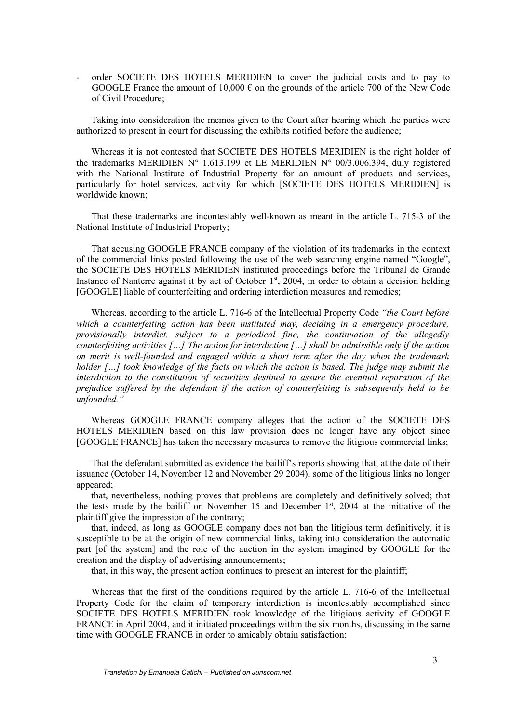- order SOCIETE DES HOTELS MERIDIEN to cover the judicial costs and to pay to GOOGLE France the amount of 10,000  $\epsilon$  on the grounds of the article 700 of the New Code of Civil Procedure;

Taking into consideration the memos given to the Court after hearing which the parties were authorized to present in court for discussing the exhibits notified before the audience;

Whereas it is not contested that SOCIETE DES HOTELS MERIDIEN is the right holder of the trademarks MERIDIEN N° 1.613.199 et LE MERIDIEN N° 00/3.006.394, duly registered with the National Institute of Industrial Property for an amount of products and services, particularly for hotel services, activity for which [SOCIETE DES HOTELS MERIDIEN] is worldwide known;

That these trademarks are incontestably well-known as meant in the article L. 715-3 of the National Institute of Industrial Property;

That accusing GOOGLE FRANCE company of the violation of its trademarks in the context of the commercial links posted following the use of the web searching engine named "Google", the SOCIETE DES HOTELS MERIDIEN instituted proceedings before the Tribunal de Grande Instance of Nanterre against it by act of October 1<sup>st</sup>, 2004, in order to obtain a decision helding [GOOGLE] liable of counterfeiting and ordering interdiction measures and remedies;

Whereas, according to the article L. 716-6 of the Intellectual Property Code *"the Court before which a counterfeiting action has been instituted may, deciding in a emergency procedure, provisionally interdict, subject to a periodical fine, the continuation of the allegedly counterfeiting activities […] The action for interdiction […] shall be admissible only if the action on merit is well-founded and engaged within a short term after the day when the trademark holder […] took knowledge of the facts on which the action is based. The judge may submit the interdiction to the constitution of securities destined to assure the eventual reparation of the prejudice suffered by the defendant if the action of counterfeiting is subsequently held to be unfounded."* 

Whereas GOOGLE FRANCE company alleges that the action of the SOCIETE DES HOTELS MERIDIEN based on this law provision does no longer have any object since [GOOGLE FRANCE] has taken the necessary measures to remove the litigious commercial links;

That the defendant submitted as evidence the bailiff's reports showing that, at the date of their issuance (October 14, November 12 and November 29 2004), some of the litigious links no longer appeared:

that, nevertheless, nothing proves that problems are completely and definitively solved; that the tests made by the bailiff on November 15 and December  $1<sup>st</sup>$ , 2004 at the initiative of the plaintiff give the impression of the contrary;

that, indeed, as long as GOOGLE company does not ban the litigious term definitively, it is susceptible to be at the origin of new commercial links, taking into consideration the automatic part [of the system] and the role of the auction in the system imagined by GOOGLE for the creation and the display of advertising announcements;

that, in this way, the present action continues to present an interest for the plaintiff;

Whereas that the first of the conditions required by the article L. 716-6 of the Intellectual Property Code for the claim of temporary interdiction is incontestably accomplished since SOCIETE DES HOTELS MERIDIEN took knowledge of the litigious activity of GOOGLE FRANCE in April 2004, and it initiated proceedings within the six months, discussing in the same time with GOOGLE FRANCE in order to amicably obtain satisfaction;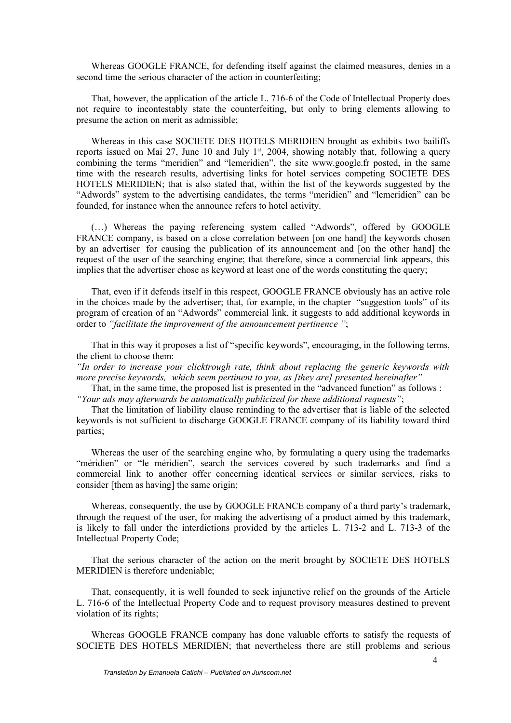Whereas GOOGLE FRANCE, for defending itself against the claimed measures, denies in a second time the serious character of the action in counterfeiting;

That, however, the application of the article L. 716-6 of the Code of Intellectual Property does not require to incontestably state the counterfeiting, but only to bring elements allowing to presume the action on merit as admissible;

Whereas in this case SOCIETE DES HOTELS MERIDIEN brought as exhibits two bailiffs reports issued on Mai 27, June 10 and July 1<sup>st</sup>, 2004, showing notably that, following a query combining the terms "meridien" and "lemeridien", the site www.google.fr posted, in the same time with the research results, advertising links for hotel services competing SOCIETE DES HOTELS MERIDIEN; that is also stated that, within the list of the keywords suggested by the "Adwords" system to the advertising candidates, the terms "meridien" and "lemeridien" can be founded, for instance when the announce refers to hotel activity.

(…) Whereas the paying referencing system called "Adwords", offered by GOOGLE FRANCE company, is based on a close correlation between [on one hand] the keywords chosen by an advertiser for causing the publication of its announcement and [on the other hand] the request of the user of the searching engine; that therefore, since a commercial link appears, this implies that the advertiser chose as keyword at least one of the words constituting the query;

That, even if it defends itself in this respect, GOOGLE FRANCE obviously has an active role in the choices made by the advertiser; that, for example, in the chapter "suggestion tools" of its program of creation of an "Adwords" commercial link, it suggests to add additional keywords in order to *"facilitate the improvement of the announcement pertinence "*;

That in this way it proposes a list of "specific keywords", encouraging, in the following terms, the client to choose them:

*"In order to increase your clicktrough rate, think about replacing the generic keywords with more precise keywords, which seem pertinent to you, as [they are] presented hereinafter"*

That, in the same time, the proposed list is presented in the "advanced function" as follows : *"Your ads may afterwards be automatically publicized for these additional requests"*;

That the limitation of liability clause reminding to the advertiser that is liable of the selected keywords is not sufficient to discharge GOOGLE FRANCE company of its liability toward third parties;

Whereas the user of the searching engine who, by formulating a query using the trademarks "méridien" or "le méridien", search the services covered by such trademarks and find a commercial link to another offer concerning identical services or similar services, risks to consider [them as having] the same origin;

Whereas, consequently, the use by GOOGLE FRANCE company of a third party's trademark, through the request of the user, for making the advertising of a product aimed by this trademark, is likely to fall under the interdictions provided by the articles L. 713-2 and L. 713-3 of the Intellectual Property Code;

That the serious character of the action on the merit brought by SOCIETE DES HOTELS MERIDIEN is therefore undeniable;

That, consequently, it is well founded to seek injunctive relief on the grounds of the Article L. 716-6 of the Intellectual Property Code and to request provisory measures destined to prevent violation of its rights;

Whereas GOOGLE FRANCE company has done valuable efforts to satisfy the requests of SOCIETE DES HOTELS MERIDIEN; that nevertheless there are still problems and serious